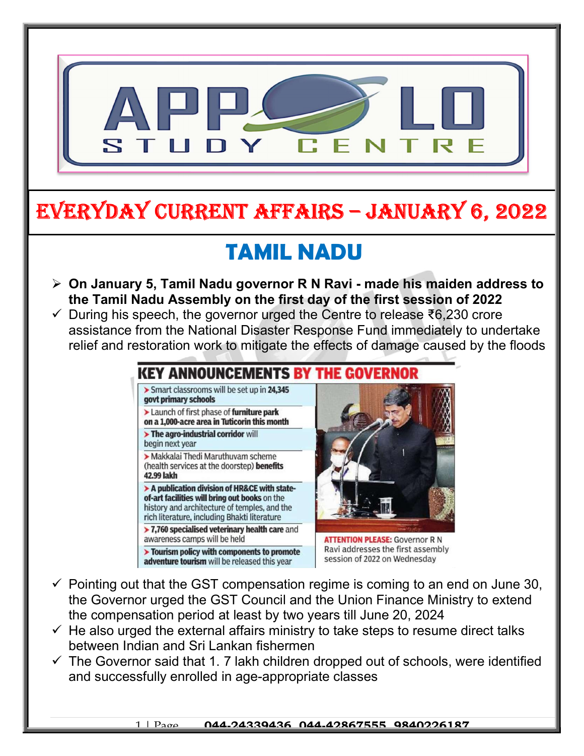

# EVERYDAY CURRENT AFFAIRS – JANUARY 6, 2022

## TAMIL NADU

- $\triangleright$  On January 5, Tamil Nadu governor R N Ravi made his maiden address to the Tamil Nadu Assembly on the first day of the first session of 2022
- $\checkmark$  During his speech, the governor urged the Centre to release ₹6,230 crore assistance from the National Disaster Response Fund immediately to undertake relief and restoration work to mitigate the effects of damage caused by the floods

### KEY ANNOUNCEMENTS BY

> Smart classrooms will be set up in 24,345 govt primary schools

Launch of first phase of furniture park on a 1,000-acre area in Tuticorin this month

> The agro-industrial corridor will

begin next year

-

Makkalai Thedi Maruthuvam scheme (health services at the doorstep) benefits 42.99 lakh

> A publication division of HR&CE with stateof-art facilities will bring out books on the history and architecture of temples, and the rich literature, including Bhakti literature

 $>$  7,760 specialised veterinary health care and awareness camps will be held

> Tourism policy with components to promote adventure tourism will be released this year



**ATTENTION PLEASE: Governor R N** Ravi addresses the first assembly session of 2022 on Wednesday

- $\checkmark$  Pointing out that the GST compensation regime is coming to an end on June 30, the Governor urged the GST Council and the Union Finance Ministry to extend the compensation period at least by two years till June 20, 2024
- $\checkmark$  He also urged the external affairs ministry to take steps to resume direct talks between Indian and Sri Lankan fishermen
- $\checkmark$  The Governor said that 1. 7 lakh children dropped out of schools, were identified and successfully enrolled in age-appropriate classes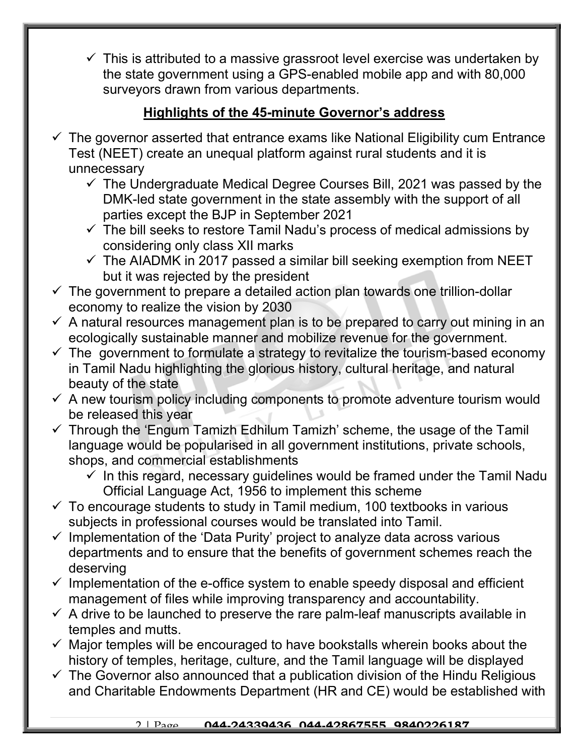$\checkmark$  This is attributed to a massive grassroot level exercise was undertaken by the state government using a GPS-enabled mobile app and with 80,000 surveyors drawn from various departments.

#### Highlights of the 45-minute Governor's address

- The governor asserted that entrance exams like National Eligibility cum Entrance Test (NEET) create an unequal platform against rural students and it is unnecessary
	- $\checkmark$  The Undergraduate Medical Degree Courses Bill, 2021 was passed by the DMK-led state government in the state assembly with the support of all parties except the BJP in September 2021
	- $\checkmark$  The bill seeks to restore Tamil Nadu's process of medical admissions by considering only class XII marks
	- $\checkmark$  The AIADMK in 2017 passed a similar bill seeking exemption from NEET but it was rejected by the president
- $\checkmark$  The government to prepare a detailed action plan towards one trillion-dollar economy to realize the vision by 2030
- $\checkmark$  A natural resources management plan is to be prepared to carry out mining in an ecologically sustainable manner and mobilize revenue for the government.
- $\checkmark$  The government to formulate a strategy to revitalize the tourism-based economy in Tamil Nadu highlighting the glorious history, cultural heritage, and natural beauty of the state
- $\checkmark$  A new tourism policy including components to promote adventure tourism would be released this year
- $\checkmark$  Through the 'Engum Tamizh Edhilum Tamizh' scheme, the usage of the Tamil language would be popularised in all government institutions, private schools, shops, and commercial establishments
	- $\checkmark$  In this regard, necessary guidelines would be framed under the Tamil Nadu Official Language Act, 1956 to implement this scheme
- $\checkmark$  To encourage students to study in Tamil medium, 100 textbooks in various subjects in professional courses would be translated into Tamil.
- $\checkmark$  Implementation of the 'Data Purity' project to analyze data across various departments and to ensure that the benefits of government schemes reach the deserving
- $\checkmark$  Implementation of the e-office system to enable speedy disposal and efficient management of files while improving transparency and accountability.
- $\checkmark$  A drive to be launched to preserve the rare palm-leaf manuscripts available in temples and mutts.
- $\checkmark$  Major temples will be encouraged to have bookstalls wherein books about the history of temples, heritage, culture, and the Tamil language will be displayed
- $\checkmark$  The Governor also announced that a publication division of the Hindu Religious and Charitable Endowments Department (HR and CE) would be established with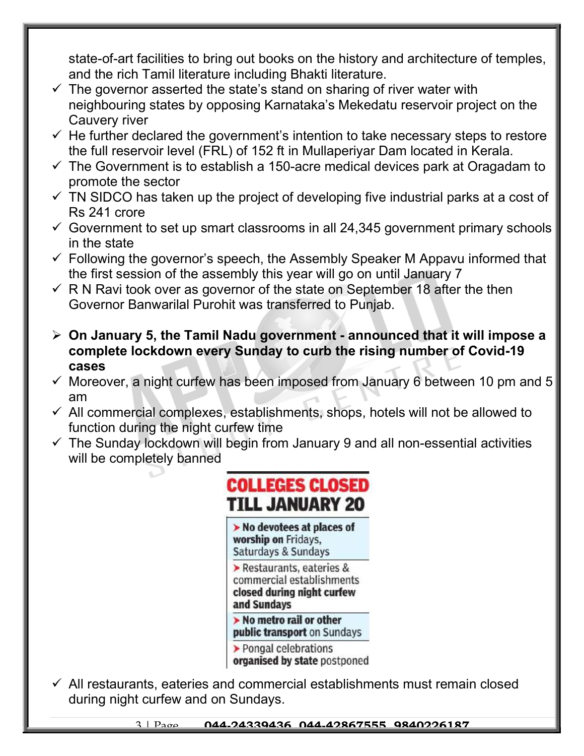state-of-art facilities to bring out books on the history and architecture of temples, and the rich Tamil literature including Bhakti literature.

- $\checkmark$  The governor asserted the state's stand on sharing of river water with neighbouring states by opposing Karnataka's Mekedatu reservoir project on the Cauvery river
- $\checkmark$  He further declared the government's intention to take necessary steps to restore the full reservoir level (FRL) of 152 ft in Mullaperiyar Dam located in Kerala.
- $\checkmark$  The Government is to establish a 150-acre medical devices park at Oragadam to promote the sector
- $\checkmark$  TN SIDCO has taken up the project of developing five industrial parks at a cost of Rs 241 crore
- $\checkmark$  Government to set up smart classrooms in all 24,345 government primary schools in the state
- $\checkmark$  Following the governor's speech, the Assembly Speaker M Appavu informed that the first session of the assembly this year will go on until January 7
- $\checkmark$  R N Ravi took over as governor of the state on September 18 after the then Governor Banwarilal Purohit was transferred to Punjab.
- $\geq$  On January 5, the Tamil Nadu government announced that it will impose a complete lockdown every Sunday to curb the rising number of Covid-19 cases
- $\checkmark$  Moreover, a night curfew has been imposed from January 6 between 10 pm and 5 am
- $\checkmark$  All commercial complexes, establishments, shops, hotels will not be allowed to function during the night curfew time
- $\checkmark$  The Sunday lockdown will begin from January 9 and all non-essential activities will be completely banned



 $\checkmark$  All restaurants, eateries and commercial establishments must remain closed during night curfew and on Sundays.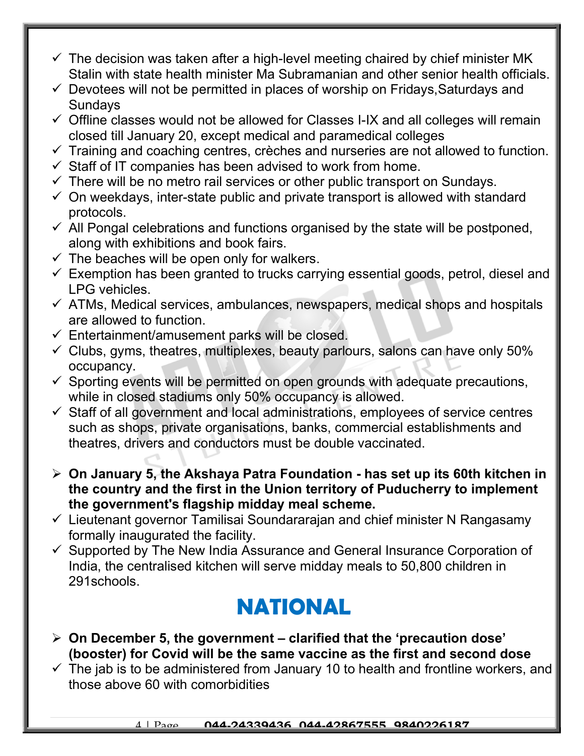- $\checkmark$  The decision was taken after a high-level meeting chaired by chief minister MK Stalin with state health minister Ma Subramanian and other senior health officials.
- $\checkmark$  Devotees will not be permitted in places of worship on Fridays, Saturdays and Sundays
- $\checkmark$  Offline classes would not be allowed for Classes I-IX and all colleges will remain closed till January 20, except medical and paramedical colleges
- $\checkmark$  Training and coaching centres, crèches and nurseries are not allowed to function.
- $\checkmark$  Staff of IT companies has been advised to work from home.
- $\checkmark$  There will be no metro rail services or other public transport on Sundays.
- $\checkmark$  On weekdays, inter-state public and private transport is allowed with standard protocols.
- $\checkmark$  All Pongal celebrations and functions organised by the state will be postponed, along with exhibitions and book fairs.
- $\checkmark$  The beaches will be open only for walkers.
- $\checkmark$  Exemption has been granted to trucks carrying essential goods, petrol, diesel and LPG vehicles.
- $\checkmark$  ATMs, Medical services, ambulances, newspapers, medical shops and hospitals are allowed to function.
- $\checkmark$  Entertainment/amusement parks will be closed.
- $\checkmark$  Clubs, gyms, theatres, multiplexes, beauty parlours, salons can have only 50% occupancy.
- $\checkmark$  Sporting events will be permitted on open grounds with adequate precautions, while in closed stadiums only 50% occupancy is allowed.
- $\checkmark$  Staff of all government and local administrations, employees of service centres such as shops, private organisations, banks, commercial establishments and theatres, drivers and conductors must be double vaccinated.
- $\triangleright$  On January 5, the Akshaya Patra Foundation has set up its 60th kitchen in the country and the first in the Union territory of Puducherry to implement the government's flagship midday meal scheme.
- $\checkmark$  Lieutenant governor Tamilisai Soundararajan and chief minister N Rangasamy formally inaugurated the facility.
- $\checkmark$  Supported by The New India Assurance and General Insurance Corporation of India, the centralised kitchen will serve midday meals to 50,800 children in 291schools.

## NATIONAL

- $\triangleright$  On December 5, the government clarified that the 'precaution dose' (booster) for Covid will be the same vaccine as the first and second dose
- $\checkmark$  The jab is to be administered from January 10 to health and frontline workers, and those above 60 with comorbidities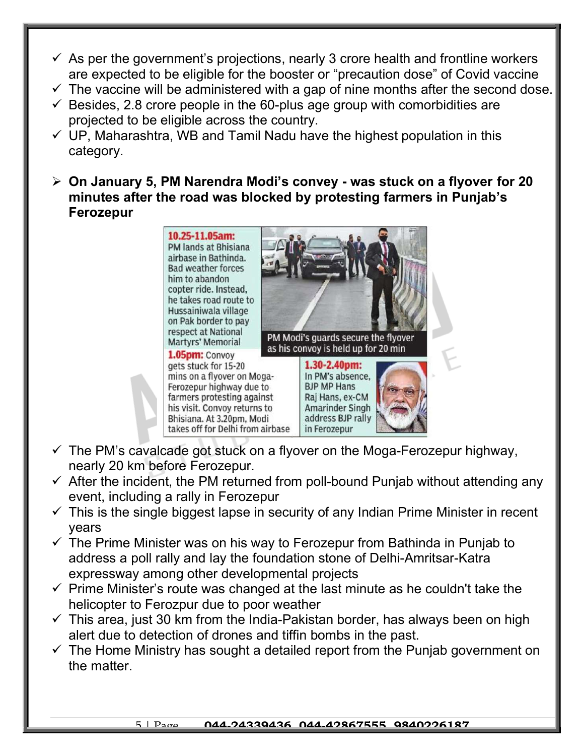- $\checkmark$  As per the government's projections, nearly 3 crore health and frontline workers are expected to be eligible for the booster or "precaution dose" of Covid vaccine
- $\checkmark$  The vaccine will be administered with a gap of nine months after the second dose.
- $\checkmark$  Besides, 2.8 crore people in the 60-plus age group with comorbidities are projected to be eligible across the country.
- $\checkmark$  UP, Maharashtra, WB and Tamil Nadu have the highest population in this category.
- On January 5, PM Narendra Modi's convey was stuck on a flyover for 20 minutes after the road was blocked by protesting farmers in Punjab's Ferozepur

10.25-11.05am: PM lands at Bhisiana airbase in Bathinda. **Bad weather forces** him to abandon copter ride. Instead, he takes road route to Hussainiwala village on Pak border to pay respect at National Martyrs' Memorial

1.05pm: Convoy gets stuck for 15-20 mins on a flyover on Moga-Ferozepur highway due to farmers protesting against his visit. Convoy returns to Bhisiana, At 3.20pm, Modi takes off for Delhi from airbase



in Ferozepur

- $\checkmark$  The PM's cavalcade got stuck on a flyover on the Moga-Ferozepur highway, nearly 20 km before Ferozepur.
- $\checkmark$  After the incident, the PM returned from poll-bound Punjab without attending any event, including a rally in Ferozepur
- $\checkmark$  This is the single biggest lapse in security of any Indian Prime Minister in recent years
- $\checkmark$  The Prime Minister was on his way to Ferozepur from Bathinda in Punjab to address a poll rally and lay the foundation stone of Delhi-Amritsar-Katra expressway among other developmental projects
- $\checkmark$  Prime Minister's route was changed at the last minute as he couldn't take the helicopter to Ferozpur due to poor weather
- $\checkmark$  This area, just 30 km from the India-Pakistan border, has always been on high alert due to detection of drones and tiffin bombs in the past.
- $\checkmark$  The Home Ministry has sought a detailed report from the Punjab government on the matter.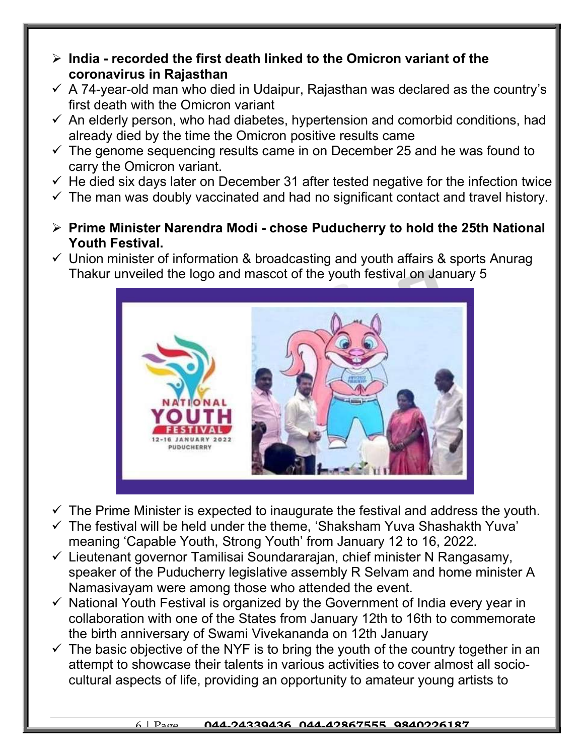- $\triangleright$  India recorded the first death linked to the Omicron variant of the coronavirus in Rajasthan
- $\checkmark$  A 74-year-old man who died in Udaipur, Rajasthan was declared as the country's first death with the Omicron variant
- $\checkmark$  An elderly person, who had diabetes, hypertension and comorbid conditions, had already died by the time the Omicron positive results came
- $\checkmark$  The genome sequencing results came in on December 25 and he was found to carry the Omicron variant.
- $\checkmark$  He died six days later on December 31 after tested negative for the infection twice
- $\checkmark$  The man was doubly vaccinated and had no significant contact and travel history.
- $\triangleright$  Prime Minister Narendra Modi chose Puducherry to hold the 25th National Youth Festival.
- $\checkmark$  Union minister of information & broadcasting and youth affairs & sports Anurag Thakur unveiled the logo and mascot of the youth festival on January 5



- $\checkmark$  The Prime Minister is expected to inaugurate the festival and address the youth.
- $\checkmark$  The festival will be held under the theme, 'Shaksham Yuva Shashakth Yuva' meaning 'Capable Youth, Strong Youth' from January 12 to 16, 2022.
- $\checkmark$  Lieutenant governor Tamilisai Soundararajan, chief minister N Rangasamy, speaker of the Puducherry legislative assembly R Selvam and home minister A Namasivayam were among those who attended the event.
- $\checkmark$  National Youth Festival is organized by the Government of India every year in collaboration with one of the States from January 12th to 16th to commemorate the birth anniversary of Swami Vivekananda on 12th January
- $\checkmark$  The basic objective of the NYF is to bring the youth of the country together in an attempt to showcase their talents in various activities to cover almost all sociocultural aspects of life, providing an opportunity to amateur young artists to